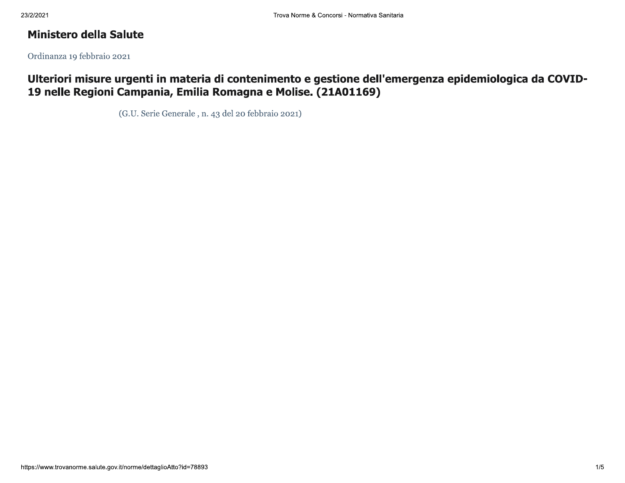# **Ministero della Salute**

Ordinanza 19 febbraio 2021

Ulteriori misure urgenti in materia di contenimento e gestione dell'emergenza epidemiologica da COVID-19 nelle Regioni Campania, Emilia Romagna e Molise. (21A01169)

(G.U. Serie Generale, n. 43 del 20 febbraio 2021)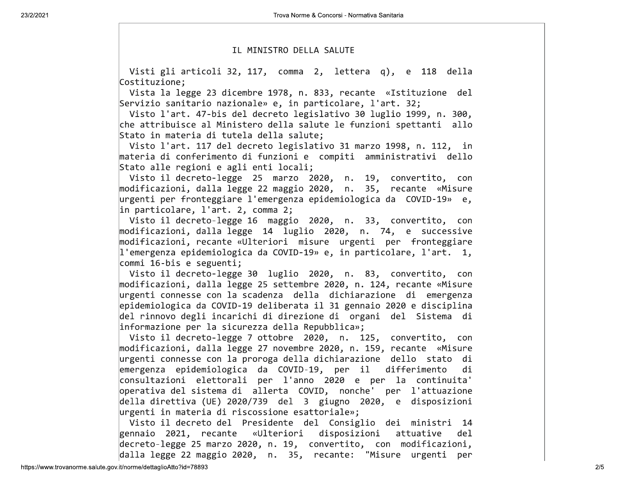## IL MINISTRO DELLA SALUTE

Visti gli articoli 32, 117, comma 2, lettera q), e 118 della Costituzione:

Vista la legge 23 dicembre 1978, n. 833, recante «Istituzione del Servizio sanitario nazionale» e, in particolare, l'art. 32;

Visto l'art. 47-bis del decreto legislativo 30 luglio 1999, n. 300, che attribuisce al Ministero della salute le funzioni spettanti allo Stato in materia di tutela della salute;

Visto l'art. 117 del decreto legislativo 31 marzo 1998, n. 112, in materia di conferimento di funzioni e compiti amministrativi dello Stato alle regioni e agli enti locali;

Visto il decreto-legge 25 marzo 2020, n. 19, convertito, con modificazioni, dalla legge 22 maggio 2020, n. 35, recante «Misure urgenti per fronteggiare l'emergenza epidemiologica da  $COVID-19$ » e, in particolare,  $l'$ art. 2, comma 2;

Visto il decreto-legge 16 maggio 2020, n. 33, convertito, con modificazioni, dalla legge 14 luglio 2020, n. 74, e successive modificazioni, recante «Ulteriori misure urgenti per fronteggiare  $\vert$ l'emergenza epidemiologica da COVID-19» e, in particolare, l'art. 1,  $\textsf{commit}$  16-bis e seguenti;

Visto il decreto-legge 30 luglio 2020, n. 83, convertito, con modificazioni, dalla legge 25 settembre 2020, n. 124, recante «Misure urgenti connesse con la scadenza della dichiarazione di emergenza epidemiologica da COVID-19 deliberata il 31 gennaio 2020 e disciplina del rinnovo degli incarichi di direzione di organi del Sistema di  $|inform$ azione per la sicurezza della Repubblica»;

Visto il decreto-legge 7 ottobre 2020, n. 125, convertito, con modificazioni, dalla legge 27 novembre 2020, n. 159, recante «Misure urgenti connesse con la proroga della dichiarazione dello stato di emergenza epidemiologica da COVID-19, per il differimento di consultazioni elettorali per l'anno 2020 e per la continuita' operativa del sistema di allerta COVID, nonche' per l'attuazione  $del1a$  direttiva (UE) 2020/739 del 3 giugno 2020, e disposizioni  $\mu$ rgenti in materia di riscossione esattoriale»;

Visto il decreto del Presidente del Consiglio dei ministri 14 gennaio 2021, recante «Ulteriori disposizioni attuative del decreto-legge 25 marzo 2020, n. 19, convertito, con modificazioni, dalla legge 22 maggio 2020, n. 35, recante: "Misure urgenti per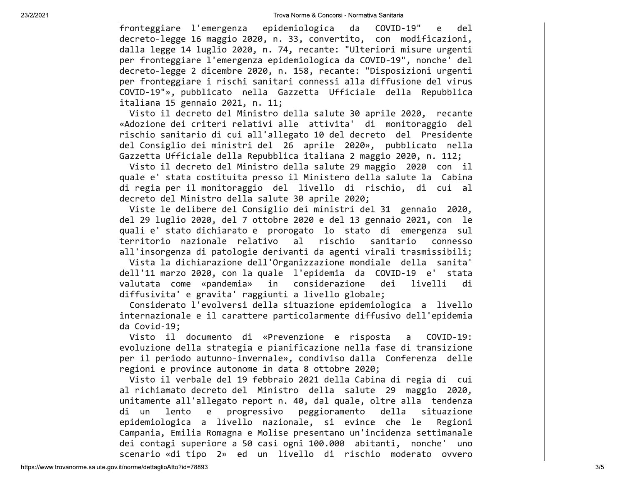Trova Norme & Concorsi-N<br>
fronteggiare l'emergenza epidemiologica<br>
decreto-legge 16 maggio 2020, n. 33, convertit<br>
dalla legge 14 luglio 2020, n. 74, recante: "l<br>
per fronteggiare l'emergenza epidemiologica da<br>
decreto-leg Trova Norme & Concorsi - Normativ<br>
enza epidemiologica da<br>
io 2020, n. 33, convertito,<br>
2020, n. 74, recante: "Ulter<br>
ergenza epidemiologica da CON<br>
bre 2020, n. 158, recante: "L Trova Norme & Concorsi-Normativa<br>
epidemiologica da C<br>
820, n. 33, convertito, c<br>
8, n. 74, recante: "Ulteri<br>
12020, n. 158, recante: "Di Trova Norme & Concorsi - Normativa Sanitaria<br>
epidemiologica da COVID-<br>
20, n. 33, convertito, con m<br>
, n. 74, recante: "Ulteriori m<br>
za epidemiologica da COVID-19"<br>
320, n. 158, recante: "Disposi Salongo a Concorsi - Normativa Sanitaria<br>1999 - Mormativa Sanitaria<br>1999 - Alexander Concordination<br>1999 - Morto Concordination<br>1999 - Alexander Concordination<br>1999 - Alexander Concordination<br>1999 - Alexander Concordinatio a Norme & Concorsi-Normativa Sanitaria<br>
emiologica da COVID-19" e<br>
33, convertito, con modifica<br>
4, recante: "Ulteriori misure u<br>
demiologica da COVID-19", nonch<br>
. 158, recante: "Disposizioni u<br>
. 158, recante: "Disposizi Concorsi-Normativa Sanitaria<br>gica da COVID-19" e de<br>ponvertito, con modificazion<br>ante: "Ulteriori misure urgen<br>pogica da COVID-19", nonche' de<br>recante: "Disposizioni urgen

di un lent<br>epidemiologic<br>Campania, Emi<br>dei contagi s<br>scenario «di<br>https://www.trovanorme.salute.gov.it/norme/dettaglioAtto?id di un lento<br>epidemiologica a<br>Campania, Emilia<br>dei contagi super<br>scenario «di tipo<br>wanorme.salute.gov.it/norme/dettaglioAtto?id=7889 di un lento e progressivo peggioramento della situazione<br>epidemiologica a livello nazionale, si evince che le Regioni<br>Campania, Emilia Romagna e Molise presentano un'incidenza settimanale<br>dei contagi superiore a 50 casi og Fronthagaine liensregans (meatematicswa-temesters<br>
(meatematicswa-temesters)<br>
(meiting of the stationary of the stationary of the stationary of the stationary of the stationary of the stationary of the stationary of the s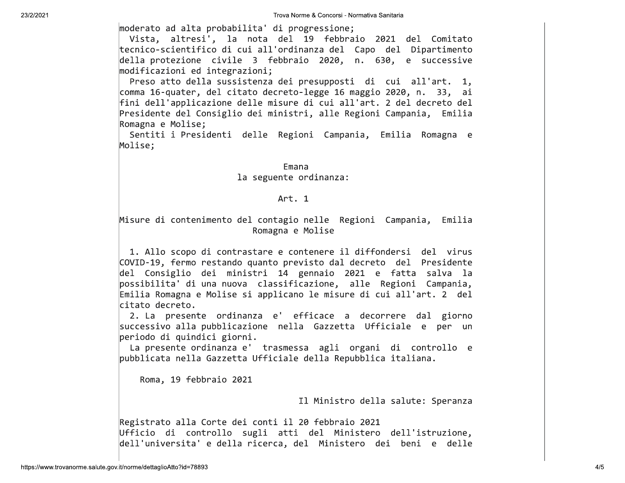moderato ad alta probabilita' di progressione;

Vista, altresi', la nota del 19 febbraio 2021 del Comitato tecnico-scientifico di cui all'ordinanza del Capo del Dipartimento della protezione civile 3 febbraio 2020, n. 630, e successive modificazioni ed integrazioni;

Preso atto della sussistenza dei presupposti di cui all'art. 1, comma 16-quater, del citato decreto-legge 16 maggio 2020, n. 33, ai fini dell'applicazione delle misure di cui all'art. 2 del decreto del Presidente del Consiglio dei ministri, alle Regioni Campania, Emilia Romagna e Molise;

Sentiti i Presidenti delle Regioni Campania, Emilia Romagna e Molise;

#### Emana

### la seguente ordinanza:

### Art. 1

Misure di contenimento del contagio nelle Regioni Campania, Emilia Romagna e Molise

1. Allo scopo di contrastare e contenere il diffondersi del virus COVID-19, fermo restando quanto previsto dal decreto del Presidente del Consiglio dei ministri 14 gennaio 2021 e fatta salva la possibilita' di una nuova classificazione, alle Regioni Campania, Emilia Romagna e Molise si applicano le misure di cui all'art. 2 del citato decreto.

2. La presente ordinanza e' efficace a decorrere dal giorno successivo alla pubblicazione nella Gazzetta Ufficiale e per un periodo di quindici giorni.

La presente ordinanza e' trasmessa agli organi di controllo e pubblicata nella Gazzetta Ufficiale della Repubblica italiana.

Roma, 19 febbraio 2021

Il Ministro della salute: Speranza

Registrato alla Corte dei conti il 20 febbraio 2021 Ufficio di controllo sugli atti del Ministero dell'istruzione, dell'universita' e della ricerca, del Ministero dei beni e delle